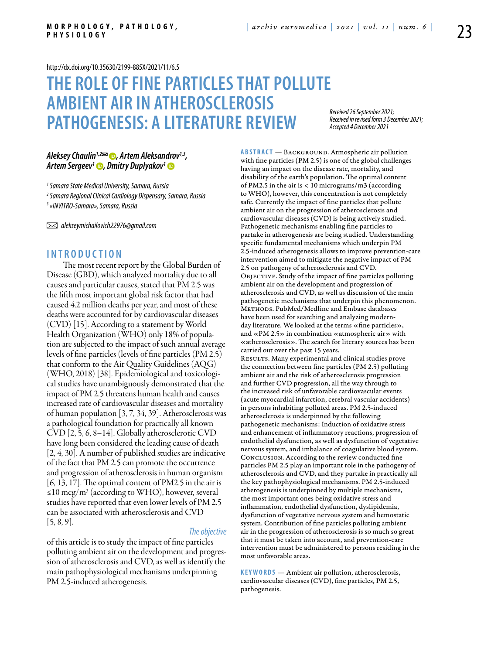<http://dx.doi.org/10.35630/2199-885X/2021/11/6.5>

# **The Role of Fine Particles That Pollute Ambient Air In Atherosclerosis Pathogenesis: A Literature Review**

*Received 26 September 2021; Received in revised form 3 December 2021; Accepted 4 December 2021*

## [Aleksey Chaulin](https://orcid.org/0000-0002-2712-0227)<sup>1,2</sup> *<del>⊘</del>, Artem Aleksandrov<sup>1,3</sup>, [Artem Sergeev](https://orcid.org/0000-0001-6630-5585)1 , [Dmitry Duplyakov](https://orcid.org/0000- 0002-6453-2976)1*

*1 Samara State Medical University, Samara, Russia*

*2 Samara Regional Clinical Cardiology Dispensary, Samara, Russia*

*3 «INVITRO-Samara», Samara, Russia*

 *alekseymichailovich22976@gmail.com*

### **I n t r o d uct i o n**

The most recent report by the Global Burden of Disease (GBD), which analyzed mortality due to all causes and particular causes, stated that PM 2.5 was the fifth most important global risk factor that had caused 4.2 million deaths per year, and most of these deaths were accounted for by cardiovascular diseases (CVD) [15]. According to a statement by World Health Organization (WHO) only 18% of population are subjected to the impact of such annual average levels of fine particles (levels of fine particles (PM 2.5) that conform to the Air Quality Guidelines (AQG) (WHO, 2018) [38]. Epidemiological and toxicological studies have unambiguously demonstrated that the impact of PM 2.5 threatens human health and causes increased rate of cardiovascular diseases and mortality of human population [3, 7, 34, 39]. Atherosclerosis was a pathological foundation for practically all known CVD [2, 5, 6, 8–14]. Globally atherosclerotic CVD have long been considered the leading cause of death [2, 4, 30]. A number of published studies are indicative of the fact that PM 2.5 can promote the occurrence and progression of atherosclerosis in human organism [6, 13, 17]. The optimal content of PM2.5 in the air is ≤10 mcg/m<sup>3</sup> (according to WHO), however, several studies have reported that even lower levels of PM 2.5 can be associated with atherosclerosis and CVD  $[5, 8, 9]$ .

#### *The objective*

of this article is to study the impact of fine particles polluting ambient air on the development and progression of atherosclerosis and CVD, as well as identify the main pathophysiological mechanisms underpinning PM 2.5-induced atherogenesis.

**ABSTRACT** — BACKGROUND. Atmospheric air pollution with fine particles (PM 2.5) is one of the global challenges having an impact on the disease rate, mortality, and disability of the earth's population. The optimal content of PM2.5 in the air is < 10 micrograms/m3 (according to WHO), however, this concentration is not completely safe. Currently the impact of fine particles that pollute ambient air on the progression of atherosclerosis and cardiovascular diseases (CVD) is being actively studied. Pathogenetic mechanisms enabling fine particles to partake in atherogenesis are being studied. Understanding specific fundamental mechanisms which underpin PM 2.5-induced atherogenesis allows to improve prevention-care intervention aimed to mitigate the negative impact of PM 2.5 on pathogeny of atherosclerosis and CVD. Objective. Study of the impact of fine particles polluting ambient air on the development and progression of atherosclerosis and CVD, as well as discussion of the main pathogenetic mechanisms that underpin this phenomenon. METHODS. PubMed/Medline and Embase databases have been used for searching and analyzing modernday literature. We looked at the terms «fine particles», and «PM 2.5» in combination «atmospheric air» with «atherosclerosis». The search for literary sources has been carried out over the past 15 years. RESULTS. Many experimental and clinical studies prove the connection between fine particles (PM 2.5) polluting ambient air and the risk of atherosclerosis progression and further CVD progression, all the way through to the increased risk of unfavorable cardiovascular events (acute myocardial infarction, cerebral vascular accidents) in persons inhabiting polluted areas. PM 2.5-induced atherosclerosis is underpinned by the following pathogenetic mechanisms: Induction of oxidative stress and enhancement of inflammatory reactions, progression of endothelial dysfunction, as well as dysfunction of vegetative nervous system, and imbalance of coagulative blood system. Conclusion. According to the review conducted fine particles PM 2.5 play an important role in the pathogeny of atherosclerosis and CVD, and they partake in practically all the key pathophysiological mechanisms. PM 2.5-induced atherogenesis is underpinned by multiple mechanisms, the most important ones being oxidative stress and inflammation, endothelial dysfunction, dyslipidemia, dysfunction of vegetative nervous system and hemostatic system. Contribution of fine particles polluting ambient air in the progression of atherosclerosis is so much so great that it must be taken into account, and prevention-care intervention must be administered to persons residing in the most unfavorable areas.

**KEYWORDS** — Ambient air pollution, atherosclerosis, cardiovascular diseases (CVD), fine particles, PM 2.5, pathogenesis.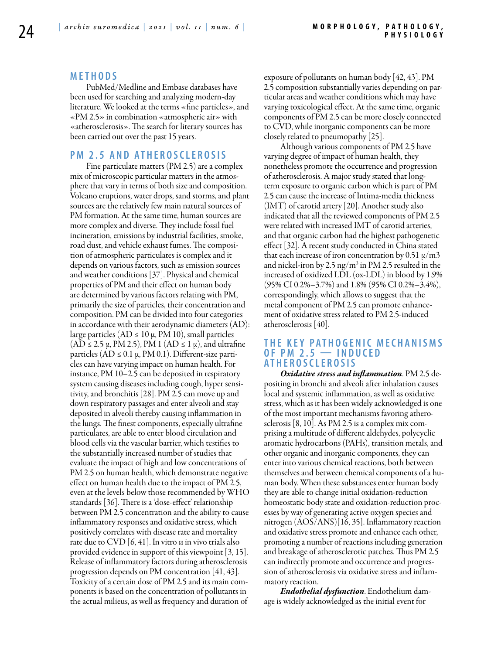### **M e t h o d s**

PubMed/Medline and Embase databases have been used for searching and analyzing modern-day literature. We looked at the terms «fine particles», and «PM 2.5» in combination «atmospheric air» with «atherosclerosis». The search for literary sources has been carried out over the past 15 years.

## **PM 2.5 AND ATHEROSCLEROSIS**

Fine particulate matters (PM 2.5) are a complex mix of microscopic particular matters in the atmosphere that vary in terms of both size and composition. Volcano eruptions, water drops, sand storms, and plant sources are the relatively few main natural sources of PM formation. At the same time, human sources are more complex and diverse. They include fossil fuel incineration, emissions by industrial facilities, smoke, road dust, and vehicle exhaust fumes. The composition of atmospheric particulates is complex and it depends on various factors, such as emission sources and weather conditions [37]. Physical and chemical properties of PM and their effect on human body are determined by various factors relating with PM, primarily the size of particles, their concentration and composition. PM can be divided into four categories in accordance with their aerodynamic diameters (AD): large particles (AD  $\leq 10 \mu$ , PM 10), small particles  $(AD \le 2.5 \mu, PM 2.5)$ , PM 1  $(AD \le 1 \mu)$ , and ultrafine particles  $(AD \leq 0.1 \mu, PM 0.1)$ . Different-size particles can have varying impact on human health. For instance, PM 10–2.5 can be deposited in respiratory system causing diseases including cough, hyper sensitivity, and bronchitis [28]. PM 2.5 can move up and down respiratory passages and enter alveoli and stay deposited in alveoli thereby causing inflammation in the lungs. The finest components, especially ultrafine particulates, are able to enter blood circulation and blood cells via the vascular barrier, which testifies to the substantially increased number of studies that evaluate the impact of high and low concentrations of PM 2.5 on human health, which demonstrate negative effect on human health due to the impact of PM 2.5, even at the levels below those recommended by WHO standards [36]. There is a 'dose-effect' relationship between PM 2.5 concentration and the ability to cause inflammatory responses and oxidative stress, which positively correlates with disease rate and mortality rate due to CVD  $[6, 41]$ . In vitro *u* in vivo trials also provided evidence in support of this viewpoint [3, 15]. Release of inflammatory factors during atherosclerosis progression depends on PM concentration [41, 43]. Toxicity of a certain dose of PM 2.5 and its main components is based on the concentration of pollutants in the actual milieus, as well as frequency and duration of

exposure of pollutants on human body [42, 43]. PM 2.5 composition substantially varies depending on particular areas and weather conditions which may have varying toxicological effect. At the same time, organic components of PM 2.5 can be more closely connected to CVD, while inorganic components can be more closely related to pneumopathy [25].

Although various components of PM 2.5 have varying degree of impact of human health, they nonetheless promote the occurrence and progression of atherosclerosis. A major study stated that longterm exposure to organic carbon which is part of PM 2.5 can cause the increase of Intima-media thickness (IMT) of carotid artery [20]. Another study also indicated that all the reviewed components of PM 2.5 were related with increased IMT of carotid arteries, and that organic carbon had the highest pathogenetic effect [32]. A recent study conducted in China stated that each increase of iron concentration by 0.51  $\mu$ /m3 and nickel-iron by 2.5 ng/m<sup>3</sup> in PM 2.5 resulted in the increased of oxidized LDL (ox-LDL) in blood by 1.9% (95% CI 0.2%–3.7%) and 1.8% (95% CI 0.2%–3.4%), correspondingly, which allows to suggest that the metal component of PM 2.5 can promote enhancement of oxidative stress related to PM 2.5-induced atherosclerosis [40].

## **Th e k e y pa t h o g e n ic mech a n i sms OF PM 2.5 – INDUCED a t h e r o scl e r o s i s**

*Oxidative stress and inflammation*. PM 2.5 depositing in bronchi and alveoli after inhalation causes local and systemic inflammation, as well as oxidative stress, which as it has been widely acknowledged is one of the most important mechanisms favoring atherosclerosis [8, 10]. As PM 2.5 is a complex mix comprising a multitude of different aldehydes, polycyclic aromatic hydrocarbons (PAHs), transition metals, and other organic and inorganic components, they can enter into various chemical reactions, both between themselves and between chemical components of a human body. When these substances enter human body they are able to change initial oxidation-reduction homeostatic body state and oxidation-reduction processes by way of generating active oxygen species and nitrogen (AOS/ANS)[16, 35]. Inflammatory reaction and oxidative stress promote and enhance each other, promoting a number of reactions including generation and breakage of atherosclerotic patches. Thus PM 2.5 can indirectly promote and occurrence and progression of atherosclerosis via oxidative stress and inflammatory reaction.

*Endothelial dysfunction*. Endothelium damage is widely acknowledged as the initial event for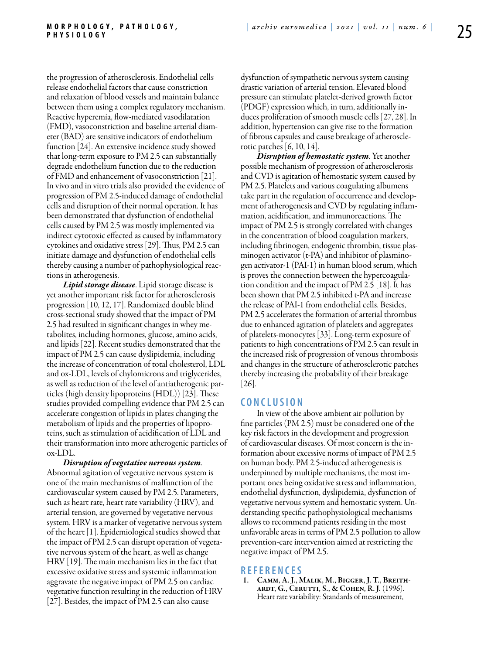the progression of atherosclerosis. Endothelial cells release endothelial factors that cause constriction and relaxation of blood vessels and maintain balance between them using a complex regulatory mechanism. Reactive hyperemia, flow-mediated vasodilatation (FMD), vasoconstriction and baseline arterial diameter (BAD) are sensitive indicators of endothelium function [24]. An extensive incidence study showed that long-term exposure to PM 2.5 can substantially degrade endothelium function due to the reduction of FMD and enhancement of vasoconstriction [21]. In vivo and in vitro trials also provided the evidence of progression of PM 2.5-induced damage of endothelial cells and disruption of their normal operation. It has been demonstrated that dysfunction of endothelial cells caused by PM 2.5 was mostly implemented via indirect cytotoxic effected as caused by inflammatory cytokines and oxidative stress [29]. Thus, PM 2.5 can initiate damage and dysfunction of endothelial cells thereby causing a number of pathophysiological reactions in atherogenesis.

*Lipid storage disease*. Lipid storage disease is yet another important risk factor for atherosclerosis progression [10, 12, 17]. Randomized double blind cross-sectional study showed that the impact of PM 2.5 had resulted in significant changes in whey metabolites, including hormones, glucose, amino acids, and lipids [22]. Recent studies demonstrated that the impact of PM 2.5 can cause dyslipidemia, including the increase of concentration of total cholesterol, LDL and ox-LDL, levels of chylomicrons and triglycerides, as well as reduction of the level of antiatherogenic particles (high density lipoproteins (HDL)) [23]. These studies provided compelling evidence that PM 2.5 can accelerate congestion of lipids in plates changing the metabolism of lipids and the properties of lipoproteins, such as stimulation of acidification of LDL and their transformation into more atherogenic particles of ox-LDL.

*Disruption of vegetative nervous system*. Abnormal agitation of vegetative nervous system is one of the main mechanisms of malfunction of the cardiovascular system caused by PM 2.5. Parameters, such as heart rate, heart rate variability (HRV), and arterial tension, are governed by vegetative nervous system. HRV is a marker of vegetative nervous system of the heart [1]. Epidemiological studies showed that the impact of PM 2.5 can disrupt operation of vegetative nervous system of the heart, as well as change HRV [19]. The main mechanism lies in the fact that excessive oxidative stress and systemic inflammation aggravate the negative impact of PM 2.5 on cardiac vegetative function resulting in the reduction of HRV [27]. Besides, the impact of PM 2.5 can also cause

dysfunction of sympathetic nervous system causing drastic variation of arterial tension. Elevated blood pressure can stimulate platelet-derived growth factor (PDGF) expression which, in turn, additionally induces proliferation of smooth muscle cells [27, 28]. In addition, hypertension can give rise to the formation of fibrous capsules and cause breakage of atherosclerotic patches [6, 10, 14].

*Disruption of hemostatic system*. Yet another possible mechanism of progression of atherosclerosis and CVD is agitation of hemostatic system caused by PM 2.5. Platelets and various coagulating albumens take part in the regulation of occurrence and development of atherogenesis and CVD by regulating inflammation, acidification, and immunoreactions. The impact of PM 2.5 is strongly correlated with changes in the concentration of blood coagulation markers, including fibrinogen, endogenic thrombin, tissue plasminogen activator  $(t-PA)$  and inhibitor of plasminogen activator-1 (PAI-1) in human blood serum, which is proves the connection between the hypercoagulation condition and the impact of PM 2.5 [18]. It has been shown that PM 2.5 inhibited t-PA and increase the release of PAI-1 from endothelial cells. Besides, PM 2.5 accelerates the formation of arterial thrombus due to enhanced agitation of platelets and aggregates of platelets-monocytes [33]. Long-term exposure of patients to high concentrations of PM 2.5 can result in the increased risk of progression of venous thrombosis and changes in the structure of atherosclerotic patches thereby increasing the probability of their breakage [26].

#### **C o n cl u s i o n**

In view of the above ambient air pollution by fine particles (PM 2.5) must be considered one of the key risk factors in the development and progression of cardiovascular diseases. Of most concern is the information about excessive norms of impact of PM 2.5 on human body. PM 2.5-induced atherogenesis is underpinned by multiple mechanisms, the most important ones being oxidative stress and inflammation, endothelial dysfunction, dyslipidemia, dysfunction of vegetative nervous system and hemostatic system. Understanding specific pathophysiological mechanisms allows to recommend patients residing in the most unfavorable areas in terms of PM 2.5 pollution to allow prevention-care intervention aimed at restricting the negative impact of PM 2.5.

**R efe r e n ce s** ARDT, G., CERUTTI, S., & COHEN, R. J. (1996). Heart rate variability: Standards of measurement,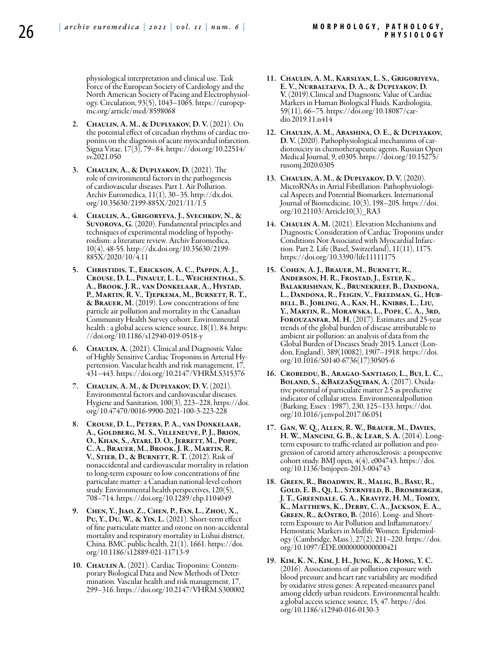physiological interpretation and clinical use. Task Force of the European Society of Cardiology and the<br>North American Society of Pacing and Electrophysiology. Circulation, 93(5), 1043–1065. https://europep-<br>mc.org/article/med/8598068

- 2. Chaulin, A. M., & Duplyakov, D. V. (2021). On the potential effect of circadian rhythms of cardiac troponins on the diagnosis of acute myocardial infarction. Signa Vitae, 17(3), 79–84. https://doi.org/10.22514/ sv.2021.050
- 3. Chaulin, A., & Duplyakov, D. (2021). The role of environmental factors in the pathogenesis of cardiovascular diseases. Part 1. Air Pollution. Archiv Euromedica, 11(1), 30–35. http://dx.doi. org/10.35630/2199-885X/2021/11/1.5
- 4. Chaulin, A., Grigoryeva, J., Svechkov, N., & Suvorova, G. (2020). Fundamental principles and techniques of experimental modeling of hypothy- roidism: a literature review. Archiv Euromedica, 10(4), 48-55. http://dx.doi.org/10.35630/2199- 885X/2020/10/4.11
- 5. Christidis, T., Erickson, A. C., Pappin, A. J., Crouse, D. L., Pinault, L. L., Weichenthal, S. A., Brook, J. R., van Donkelaar, A., Hystad, P., Martin, R. V., Tjepkema, M., Burnett, R. T., & Brauer, M. (2019). Low concentrations of fine particle air pollution and mortality in the Canadian Community Health Survey cohort. Environmental health : a global access science source, 18(1), 84. https: //doi.org/10.1186/s12940-019-0518-y
- 6. CHAULIN, A. (2021). Clinical and Diagnostic Value of Highly Sensitive Cardiac Troponins in Arterial Hypertension. Vascular health and risk management, 17, 431–443. https://doi.org/10.2147/VHRM.S315376
- 7. Chaulin, A. M., & Duplyakov, D. V. (2021). Environmental factors and cardiovascular diseases. Hygiene and Sanitation, 100(3), 223–228, https://doi. org/10.47470/0016-9900-2021-100-3-223-228
- 8. Crouse, D. L., Peters, P. A., van Donkelaar, A., Goldberg, M. S., Villeneuve, P. J., Brion, O., Khan, S., Atari, D. O., Jerrett, M., Pope, C. A., Brauer, M., Brook, J. R., Martin, R. V., Stieb, D., & Burnett, R. T. (2012). Risk of nonaccidental and cardiovascular mortality in relation to long-term exposure to low concentrations of fine particulate matter: a Canadian national-level cohort study. Environmental health perspectives, 120(5), 708–714. https://doi.org/10.1289/ehp.1104049
- 9. Chen, Y., Jiao, Z., Chen, P., Fan, L., Zhou, X., Pu, Y., Du, W., & Yin, L. (2021). Short-term effect of fine particulate matter and ozone on non-accidental mortality and respiratory mortality in Lishui district, China. BMC public health, 21(1), 1661. https://doi. org/10.1186/s12889-021-11713-9
- 10. CHAULIN A. (2021). Cardiac Troponins: Contemporary Biological Data and New Methods of Determination. Vascular health and risk management, 17, 299–316. https://doi.org/10.2147/VHRM.S300002
- 11. Chaulin, A. M., Karslyan, L. S., Grigoriyeva, E. V., Nurbaltaeva, D. A., & Duplyakov, D. V. (2019).Clinical and Diagnostic Value of Cardiac Markers in Human Biological Fluids. Kardiologiia, 59(11), 66–75. https://doi.org/10.18087/car- dio.2019.11.n414
- 12. Chaulin, A. M., Abashina, O. E., & Duplyakov, D. V. (2020). Pathophysiological mechanisms of cardiotoxicity in chemotherapeutic agents. Russian Open Medical Journal, 9, e0305. https://doi.org/10.15275/ rusomj.2020.0305
- 13. Chaulin, A. M., & Duplyakov, D. V. (2020). MicroRNAs in Atrial Fibrillation: Pathophysiologi- cal Aspects and Potential Biomarkers. International Journal of Biomedicine, 10(3), 198–205. https://doi. org/10.21103/Article10(3)\_RA3
- 14. CHAULIN A. M. (2021). Elevation Mechanisms and Diagnostic Consideration of Cardiac Troponins under Conditions Not Associated with Myocardial Infarction. Part 2. Life (Basel, Switzerland), 11(11), 1175. https://doi.org/10.3390/life11111175
- 15. Cohen, A. J., Brauer, M., Burnett, R., Anderson, H. R., Frostad, J., Estep, K., Balakrishnan, K., Brunekreef, B., Dandona, L., Dandona, R., Feigin, V., Freedman, G., Hubbell, B., Jobling, A., Kan, H., Knibbs, L., Liu, Y., Martin, R., Morawska, L., Pope, C. A., 3rd, Forouzanfar, M. H. (2017). Estimates and 25-year trends of the global burden of disease attributable to ambient air pollution: an analysis of data from the Global Burden of Diseases Study 2015. Lancet (London, England), 389(10082), 1907–1918. https://doi. org/10.1016/S0140-6736(17)30505-6
- 16. Crobeddu, B., Aragao-Santiago, L., Bui, L. C., BOLAND, S., &BAEZASQUIBAN, A. (2017). Oxida-<br>tive potential of particulate matter 2.5 as predictive indicator of cellular stress. Environmentalpollution (Barking, Essex : 1987), 230, 125–133. https://doi. org/10.1016/j.envpol.2017.06.051
- 17. Gan, W. Q., Allen, R. W., Brauer, M., Davies, H. W., Mancini, G. B., & Lear, S. A. (2014). Longterm exposure to traffic-related air pollution and progression of carotid artery atherosclerosis: a prospective cohort study. BMJ open,  $4(4)$ , e004743. https://doi. org/10.1136/bmjopen-2013-004743
- 18. Green, R., Broadwin, R., Malig, B., Basu, R., Gold, E. B., Qi, L., Sternfeld, B., Bromberger, J. T., Greendale, G. A., Kravitz, H. M., Tomey, K., Matthews, K., Derby, C. A., Jackson, E. A., Green, R., &Ostro, B. (2016). Long- and Shortterm Exposure to Air Pollution and Inflammatory/ Hemostatic Markers in Midlife Women. Epidemiology (Cambridge, Mass.), 27(2), 211–220. https://doi. org/10.1097/EDE.0000000000000421
- 19. Kim, K. N., Kim, J. H., Jung, K., & Hong, Y. C. (2016). Associations of air pollution exposure with blood pressure and heart rate variability are modified by oxidative stress genes: A repeated-measures panel among elderly urban residents. Environmental health: a global access science source, 15, 47. https://doi. org/10.1186/s12940-016-0130-3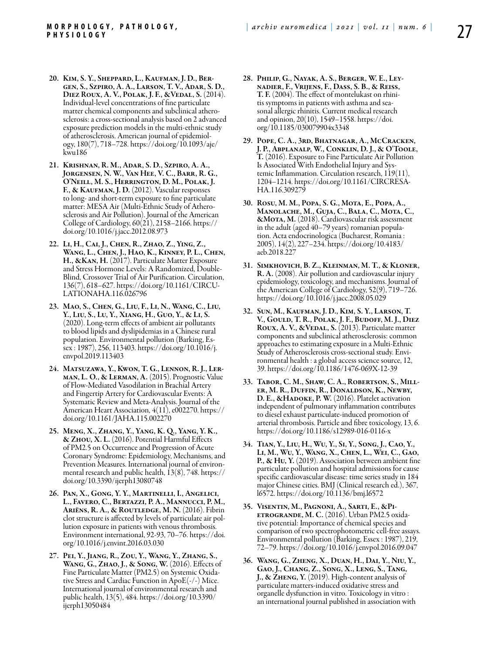- 20. Kim, S. Y., Sheppard, L., Kaufman, J. D., Bergen, S., Szpiro, A. A., Larson, T. V., Adar, S. D., Diez Roux, A. V., Polak, J. F., &Vedal, S. (2014). Individual-level concentrations of fine particulate matter chemical components and subclinical atherosclerosis: a cross-sectional analysis based on 2 advanced exposure prediction models in the multi-ethnic study of atherosclerosis. American journal of epidemiology, 180(7), 718–728. https://doi.org/10.1093/aje/ kwu186
- 21. Krishnan, R. M., Adar, S. D., Szpiro, A. A., Jorgensen, N. W., Van Hee, V. C., Barr, R. G., O'Neill, M. S., Herrington, D. M., Polak, J. F., & KAUFMAN, J. D. (2012). Vascular responses to long- and short-term exposure to fine particulate matter: MESA Air (Multi-Ethnic Study of Atherosclerosis and Air Pollution). Journal of the American College of Cardiology, 60(21), 2158–2166. https:// doi.org/10.1016/j.jacc.2012.08.973
- 22. Li, H., Cai, J., Chen, R., Zhao, Z., Ying, Z., Wang, L., Chen, J., Hao, K., Kinney, P. L., Chen, H., &Kan, H. (2017). Particulate Matter Exposure and Stress Hormone Levels: A Randomized, Double-Blind, Crossover Trial of Air Purification. Circulation, 136(7), 618–627. https://doi.org/10.1161/CIRCU-LATIONAHA.116.026796
- 23. Mao, S., Chen, G., Liu, F., Li, N., Wang, C., Liu, Y., Liu, S., Lu, Y., Xiang, H., Guo, Y., & Li, S. (2020). Long-term effects of ambient air pollutants to blood lipids and dyslipidemias in a Chinese rural population. Environmental pollution (Barking, Essex : 1987), 256, 113403. https://doi.org/10.1016/j. envpol.2019.113403
- 24. Matsuzawa, Y., Kwon, T. G., Lennon, R. J., Lerman, L. O., & Lerman, A. (2015). Prognostic Value of Flow-Mediated Vasodilation in Brachial Artery and Fingertip Artery for Cardiovascular Events: A Systematic Review and Meta-Analysis. Journal of the American Heart Association, 4(11), e002270. https:// doi.org/10.1161/JAHA.115.002270
- 25. Meng, X., Zhang, Y., Yang, K. Q., Yang, Y. K., & Zhou, X. L. (2016). Potential Harmful Effects of PM2.5 on Occurrence and Progression of Acute Coronary Syndrome: Epidemiology, Mechanisms, and mental research and public health,  $13(8)$ , 748. https:// doi.org/10.3390/ijerph13080748
- 26. Pan, X., Gong, Y. Y., Martinelli, I., Angelici, L., Favero, C., Bertazzi, P. A., Mannucci, P. M., Ariëns, R. A., & Routledge, M. N. (2016). Fibrin clot structure is affected by levels of particulate air pollution exposure in patients with venous thrombosis. Environment international, 92-93, 70–76. https://doi. org/10.1016/j.envint.2016.03.030
- 27. Pei, Y., Jiang, R., Zou, Y., Wang, Y., Zhang, S., Wang, G., Zhao, J., & Song, W. (2016). Effects of Fine Particulate Matter (PM2.5) on Systemic Oxidative Stress and Cardiac Function in ApoE(-/-) Mice. International journal of environmental research and public health, 13(5), 484. https://doi.org/10.3390/ ijerph13050484
- 28. Philip, G., Nayak, A. S., Berger, W. E., Leynadier, F., Vrijens, F., Dass, S. B., & Reiss, T. F. (2004). The effect of montelukast on rhinitis symptoms in patients with asthma and seasonal allergic rhinitis. Current medical research and opinion, 20(10), 1549–1558. https://doi. org/10.1185/030079904x3348
- 29. Pope, C. A., 3rd, Bhatnagar, A., McCracken, J. P., Abplanalp, W., Conklin, D. J., & O'Toole, T. (2016). Exposure to Fine Particulate Air Pollution Is Associated With Endothelial Injury and Systemic Inflammation. Circulation research, 119(11), 1204–1214. https://doi.org/10.1161/CIRCRESA-HA.116.309279
- 30. Rosu, M. M., Popa, S. G., Mota, E., Popa, A., Manolache, M., Guja, C., Bala, C., Mota, C., &Mota, M. (2018). Cardiovascular risk assessment in the adult (aged 40–79 years) romanian population. Acta endocrinologica (Bucharest, Romania : 2005), 14(2), 227–234. https://doi.org/10.4183/ aeb.2018.227
- 31. Simkhovich, B. Z., Kleinman, M. T., & Kloner, R. A. (2008). Air pollution and cardiovascular injury epidemiology, toxicology, and mechanisms. Journal of the American College of Cardiology, 52(9), 719–726. https://doi.org/10.1016/j.jacc.2008.05.029
- 32. Sun, M., Kaufman, J. D., Kim, S. Y., Larson, T. V., Gould, T. R., Polak, J. F., Budoff, M. J., Diez Roux, A. V., & VEDAL, S. (2013). Particulate matter components and subclinical atherosclerosis: common approaches to estimating exposure in a Multi-Ethnic Study of Atherosclerosis cross-sectional study. Environmental health : a global access science source, 12, 39. https://doi.org/10.1186/1476-069X-12-39
- 33. Tabor, C. M., Shaw, C. A., Robertson, S., Miller, M. R., Duffin, R., Donaldson, K., Newby, D. E., & HADOKE, P. W. (2016). Platelet activation independent of pulmonary inflammation contributes to diesel exhaust particulate-induced promotion of arterial thrombosis. Particle and fibre toxicology, 13, 6. https://doi.org/10.1186/s12989-016-0116-x
- 34. Tian, Y., Liu, H., Wu, Y., Si, Y., Song, J., Cao, Y., Li, M., Wu, Y., Wang, X., Chen, L., Wei, C., Gao, P., & Hu, Y. (2019). Association between ambient fine particulate pollution and hospital admissions for cause specific cardiovascular disease: time series study in 184 major Chinese cities. BMJ (Clinical research ed.), 367, l6572. https://doi.org/10.1136/bmj.l6572
- 35. Visentin, M., Pagnoni, A., Sarti, E., &Pietrogrande, M. C. (2016). Urban PM2.5 oxidative potential: Importance of chemical species and comparison of two spectrophotometric cell-free assays. Environmental pollution (Barking, Essex : 1987), 219, 72–79. https://doi.org/10.1016/j.envpol.2016.09.047
- 36. Wang, G., Zheng, X., Duan, H., Dai, Y., Niu, Y., Gao, J., Chang, Z., Song, X., Leng, S., Tang, J., & Zheng, Y. (2019). High-content analysis of particulate matters-induced oxidative stress and organelle dysfunction in vitro. Toxicology in vitro : an international journal published in association with